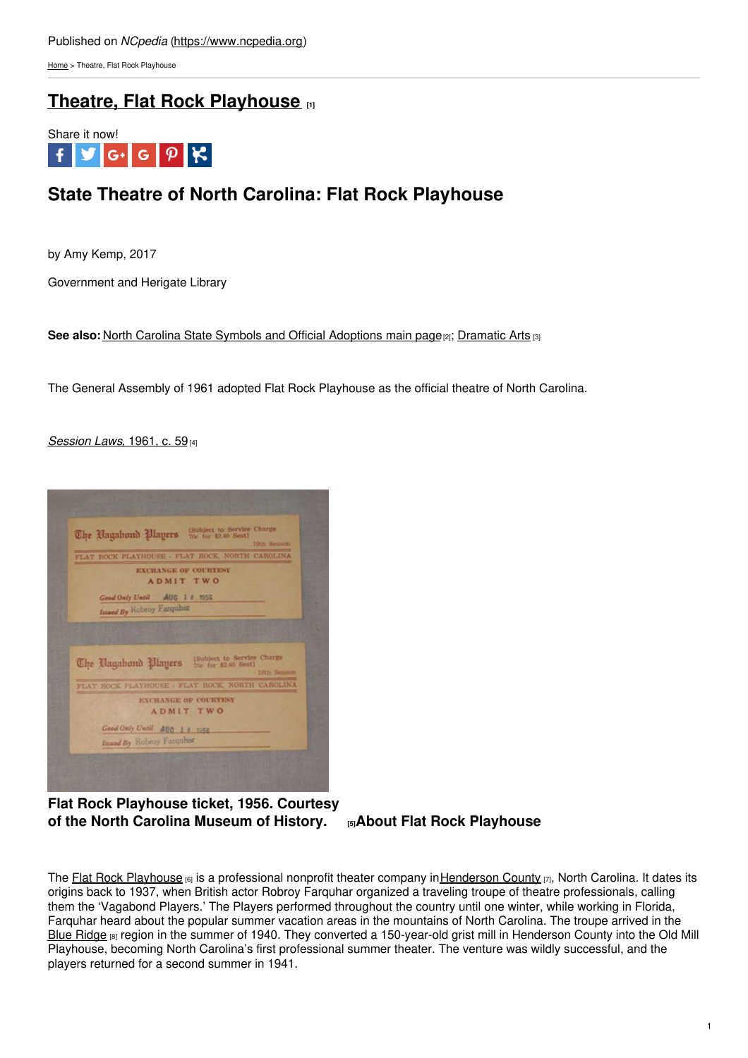[Home](https://www.ncpedia.org/) > Theatre, Flat Rock Playhouse

# **Theatre, Flat Rock [Playhouse](https://www.ncpedia.org/symbols/theatre) [1]**



# **State Theatre of North Carolina: Flat Rock Playhouse**

by Amy Kemp, 2017

Government and Herigate Library

**See also: North Carolina State Symbols and [Official](http://www.social9.com) [Adoptions](https://ncpedia.org/symbols) main page<sup>[2]</sup>; [Dramatic](https://www.ncpedia.org/dramatic-arts-part-4-professional) Arts [3]** 

The General Assembly of 1961 adopted Flat Rock Playhouse as the official theatre of North Carolina.

# *[Session](https://www.ncleg.net/EnactedLegislation/Resolutions/PDF/1961-1962/RES1961-59.pdf) Laws*, 1961, c. 59[4]



**Flat Rock Playhouse ticket, 1956. Courtesy of the North Carolina [Museum](https://collections.ncdcr.gov/RediscoveryProficioPublicSearch/ShowImageView.aspx?297374&297374) of History. [5]About Flat Rock Playhouse**

The Flat Rock [Playhouse](https://www.flatrockplayhouse.org/) [6] is a professional nonprofit theater company in [Henderson](https://www.ncpedia.org/geography/henderson) County [7], North Carolina. It dates its origins back to 1937, when British actor Robroy Farquhar organized a traveling troupe of theatre professionals, calling them the 'Vagabond Players.' The Players performed throughout the country until one winter, while working in Florida, Farquhar heard about the popular summer vacation areas in the mountains of North Carolina. The troupe arrived in the Blue [Ridge](https://www.ncpedia.org/blue-ridge-parkway) [8] region in the summer of 1940. They converted a 150-year-old grist mill in Henderson County into the Old Mill Playhouse, becoming North Carolina's first professional summer theater. The venture was wildly successful, and the players returned for a second summer in 1941.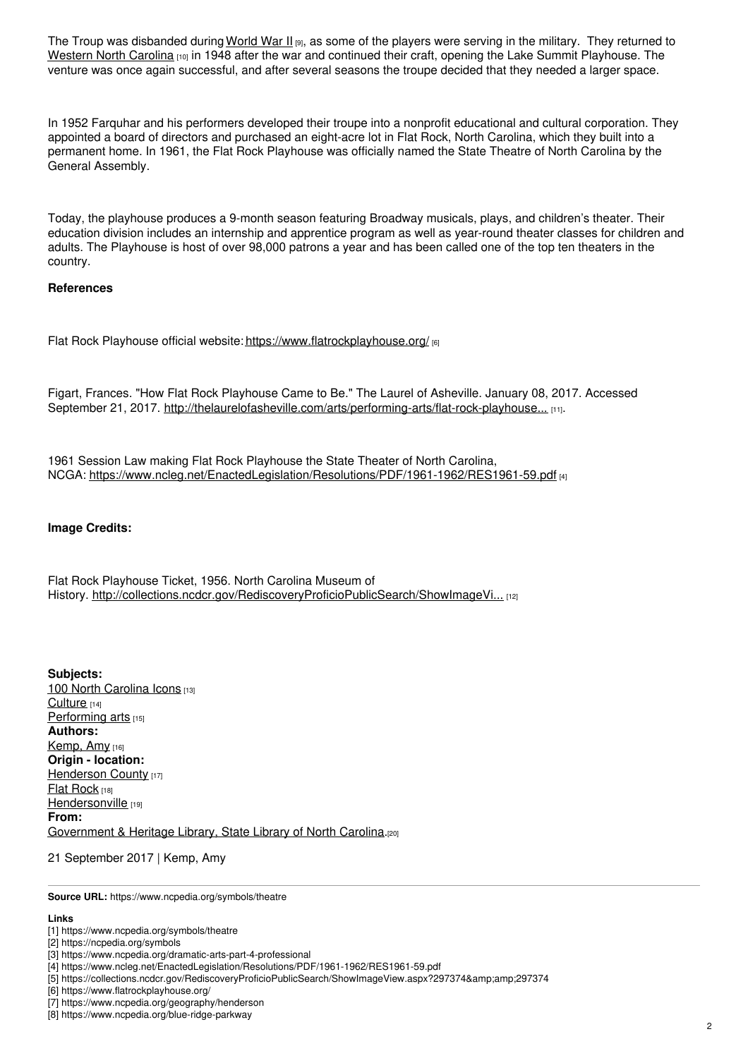The Troup was disbanded during [World](https://www.ncpedia.org/world-war-ii-part-2-north-carolina) War II [9], as some of the players were serving in the military. They returned to [Western](https://www.ncpedia.org/geography-part-4-rugged-beauty-and) North Carolina [10] in 1948 after the war and continued their craft, opening the Lake Summit Playhouse. The venture was once again successful, and after several seasons the troupe decided that they needed a larger space.

In 1952 Farquhar and his performers developed their troupe into a nonprofit educational and cultural corporation. They appointed a board of directors and purchased an eight-acre lot in Flat Rock, North Carolina, which they built into a permanent home. In 1961, the Flat Rock Playhouse was officially named the State Theatre of North Carolina by the General Assembly.

Today, the playhouse produces a 9-month season featuring Broadway musicals, plays, and children's theater. Their education division includes an internship and apprentice program as well as year-round theater classes for children and adults. The Playhouse is host of over 98,000 patrons a year and has been called one of the top ten theaters in the country.

#### **References**

Flat Rock Playhouse official website: <https://www.flatrockplayhouse.org/> [6]

Figart, Frances. "How Flat Rock Playhouse Came to Be." The Laurel of Asheville. January 08, 2017. Accessed September 21, 2017. [http://thelaurelofasheville.com/arts/performing-arts/flat-rock-playhouse...](http://thelaurelofasheville.com/arts/performing-arts/flat-rock-playhouse-came/) [11].

1961 Session Law making Flat Rock Playhouse the State Theater of North Carolina, NCGA: <https://www.ncleg.net/EnactedLegislation/Resolutions/PDF/1961-1962/RES1961-59.pdf> [4]

### **Image Credits:**

Flat Rock Playhouse Ticket, 1956. North Carolina Museum of History. [http://collections.ncdcr.gov/RediscoveryProficioPublicSearch/ShowImageVi...](http://collections.ncdcr.gov/RediscoveryProficioPublicSearch/ShowImageView.aspx?297374) [12]

**Subjects:** 100 North [Carolina](https://www.ncpedia.org/north-carolina-icons) Icons [13] [Culture](https://www.ncpedia.org/category/subjects/culture) [14] [Performing](https://www.ncpedia.org/category/subjects/performing-arts) arts [15] **Authors:** [Kemp,](https://www.ncpedia.org/category/authors/kemp-amy) Amy [16] **Origin - location:** [Henderson](https://www.ncpedia.org/category/origin-location/mountain-7) County [17] Flat [Rock](https://www.ncpedia.org/category/origin-location/flat-rock) [18] [Hendersonville](https://www.ncpedia.org/category/origin-location-3) [19] **From:** [Government](https://www.ncpedia.org/category/entry-source/government) & Heritage Library, State Library of North Carolina.[20]

# 21 September 2017 | Kemp, Amy

**Source URL:** https://www.ncpedia.org/symbols/theatre

# **Links**

<sup>[1]</sup> https://www.ncpedia.org/symbols/theatre

<sup>[2]</sup> https://ncpedia.org/symbols

<sup>[3]</sup> https://www.ncpedia.org/dramatic-arts-part-4-professional

<sup>[4]</sup> https://www.ncleg.net/EnactedLegislation/Resolutions/PDF/1961-1962/RES1961-59.pdf

<sup>[5]</sup> https://collections.ncdcr.gov/RediscoveryProficioPublicSearch/ShowImageView.aspx?297374&297374

<sup>[6]</sup> https://www.flatrockplayhouse.org/

<sup>[7]</sup> https://www.ncpedia.org/geography/henderson

<sup>[8]</sup> https://www.ncpedia.org/blue-ridge-parkway